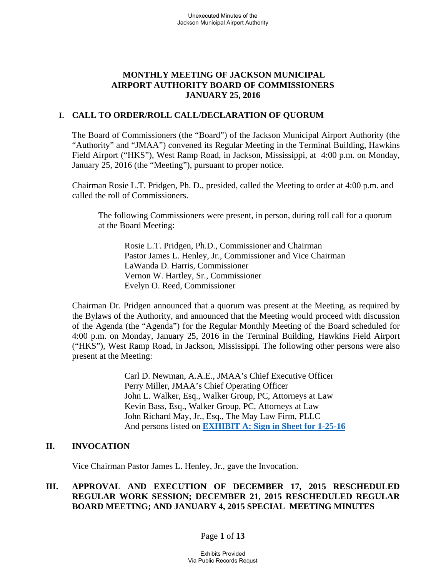## **MONTHLY MEETING OF JACKSON MUNICIPAL AIRPORT AUTHORITY BOARD OF COMMISSIONERS JANUARY 25, 2016**

### **I. CALL TO ORDER/ROLL CALL/DECLARATION OF QUORUM**

The Board of Commissioners (the "Board") of the Jackson Municipal Airport Authority (the "Authority" and "JMAA") convened its Regular Meeting in the Terminal Building, Hawkins Field Airport ("HKS"), West Ramp Road, in Jackson, Mississippi, at 4:00 p.m. on Monday, January 25, 2016 (the "Meeting"), pursuant to proper notice.

Chairman Rosie L.T. Pridgen, Ph. D., presided, called the Meeting to order at 4:00 p.m. and called the roll of Commissioners.

The following Commissioners were present, in person, during roll call for a quorum at the Board Meeting:

 Rosie L.T. Pridgen, Ph.D., Commissioner and Chairman Pastor James L. Henley, Jr., Commissioner and Vice Chairman LaWanda D. Harris, Commissioner Vernon W. Hartley, Sr., Commissioner Evelyn O. Reed, Commissioner

Chairman Dr. Pridgen announced that a quorum was present at the Meeting, as required by the Bylaws of the Authority, and announced that the Meeting would proceed with discussion of the Agenda (the "Agenda") for the Regular Monthly Meeting of the Board scheduled for 4:00 p.m. on Monday, January 25, 2016 in the Terminal Building, Hawkins Field Airport ("HKS"), West Ramp Road, in Jackson, Mississippi. The following other persons were also present at the Meeting:

> Carl D. Newman, A.A.E., JMAA's Chief Executive Officer Perry Miller, JMAA's Chief Operating Officer John L. Walker, Esq., Walker Group, PC, Attorneys at Law Kevin Bass, Esq., Walker Group, PC, Attorneys at Law John Richard May, Jr., Esq., The May Law Firm, PLLC And persons listed on **EXHIBIT A: Sign in Sheet for 1-25-16**

### **II. INVOCATION**

Vice Chairman Pastor James L. Henley, Jr., gave the Invocation.

## **III. APPROVAL AND EXECUTION OF DECEMBER 17, 2015 RESCHEDULED REGULAR WORK SESSION; DECEMBER 21, 2015 RESCHEDULED REGULAR BOARD MEETING; AND JANUARY 4, 2015 SPECIAL MEETING MINUTES**

### Page **1** of **13**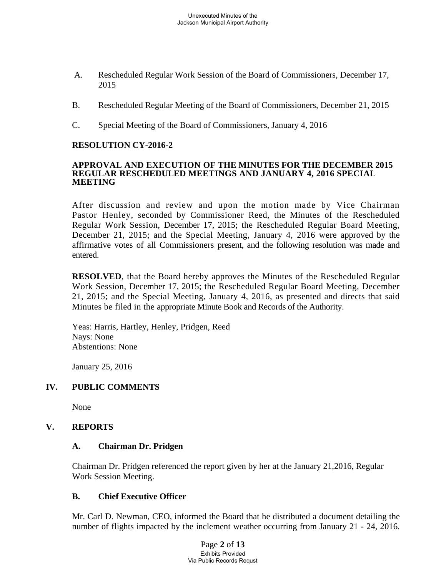- A. Rescheduled Regular Work Session of the Board of Commissioners, December 17, 2015
- B. Rescheduled Regular Meeting of the Board of Commissioners, December 21, 2015
- C. Special Meeting of the Board of Commissioners, January 4, 2016

## **RESOLUTION CY-2016-2**

#### **APPROVAL AND EXECUTION OF THE MINUTES FOR THE DECEMBER 2015 REGULAR RESCHEDULED MEETINGS AND JANUARY 4, 2016 SPECIAL MEETING**

After discussion and review and upon the motion made by Vice Chairman Pastor Henley, seconded by Commissioner Reed, the Minutes of the Rescheduled Regular Work Session, December 17, 2015; the Rescheduled Regular Board Meeting, December 21, 2015; and the Special Meeting, January 4, 2016 were approved by the affirmative votes of all Commissioners present, and the following resolution was made and entered.

**RESOLVED**, that the Board hereby approves the Minutes of the Rescheduled Regular Work Session, December 17, 2015; the Rescheduled Regular Board Meeting, December 21, 2015; and the Special Meeting, January 4, 2016, as presented and directs that said Minutes be filed in the appropriate Minute Book and Records of the Authority.

Yeas: Harris, Hartley, Henley, Pridgen, Reed Nays: None Abstentions: None

January 25, 2016

## **IV. PUBLIC COMMENTS**

None

## **V. REPORTS**

### **A. Chairman Dr. Pridgen**

Chairman Dr. Pridgen referenced the report given by her at the January 21,2016, Regular Work Session Meeting.

### **B. Chief Executive Officer**

Mr. Carl D. Newman, CEO, informed the Board that he distributed a document detailing the number of flights impacted by the inclement weather occurring from January 21 - 24, 2016.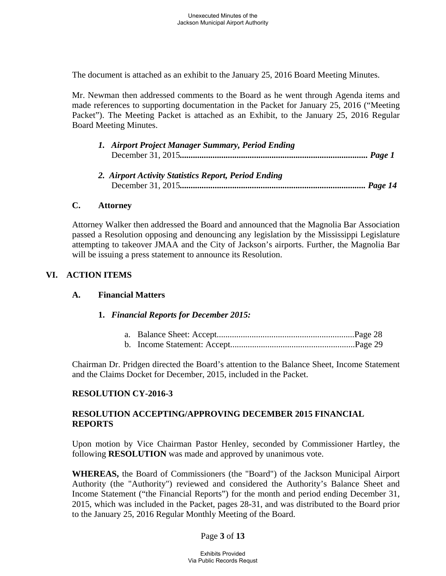The document is attached as an exhibit to the January 25, 2016 Board Meeting Minutes.

Mr. Newman then addressed comments to the Board as he went through Agenda items and made references to supporting documentation in the Packet for January 25, 2016 ("Meeting Packet"). The Meeting Packet is attached as an Exhibit, to the January 25, 2016 Regular Board Meeting Minutes.

| 1. Airport Project Manager Summary, Period Ending                                                                  |  |  |
|--------------------------------------------------------------------------------------------------------------------|--|--|
|                                                                                                                    |  |  |
|                                                                                                                    |  |  |
| $\mathbf{r}$ and $\mathbf{r}$ and $\mathbf{r}$ and $\mathbf{r}$ and $\mathbf{r}$ and $\mathbf{r}$ and $\mathbf{r}$ |  |  |

*2. Airport Activity Statistics Report, Period Ending*  December 31, 2015*..................................................................................... Page 14* 

### **C. Attorney**

Attorney Walker then addressed the Board and announced that the Magnolia Bar Association passed a Resolution opposing and denouncing any legislation by the Mississippi Legislature attempting to takeover JMAA and the City of Jackson's airports. Further, the Magnolia Bar will be issuing a press statement to announce its Resolution.

## **VI. ACTION ITEMS**

### **A. Financial Matters**

### **1.** *Financial Reports for December 2015:*

Chairman Dr. Pridgen directed the Board's attention to the Balance Sheet, Income Statement and the Claims Docket for December, 2015, included in the Packet.

## **RESOLUTION CY-2016-3**

## **RESOLUTION ACCEPTING/APPROVING DECEMBER 2015 FINANCIAL REPORTS**

Upon motion by Vice Chairman Pastor Henley, seconded by Commissioner Hartley, the following **RESOLUTION** was made and approved by unanimous vote.

**WHEREAS,** the Board of Commissioners (the "Board") of the Jackson Municipal Airport Authority (the "Authority") reviewed and considered the Authority's Balance Sheet and Income Statement ("the Financial Reports") for the month and period ending December 31, 2015, which was included in the Packet, pages 28-31, and was distributed to the Board prior to the January 25, 2016 Regular Monthly Meeting of the Board.

## Page **3** of **13**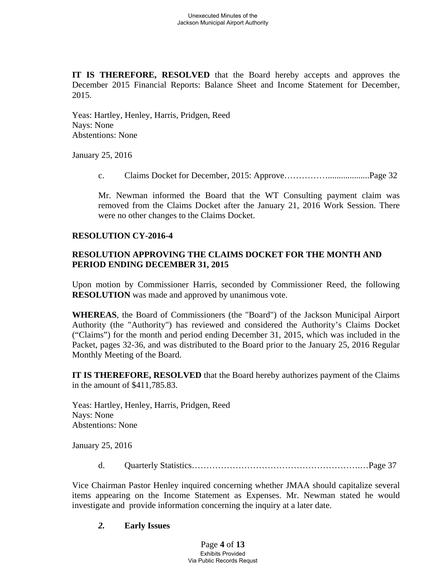**IT IS THEREFORE, RESOLVED** that the Board hereby accepts and approves the December 2015 Financial Reports: Balance Sheet and Income Statement for December, 2015.

 Yeas: Hartley, Henley, Harris, Pridgen, Reed Nays: None Abstentions: None

January 25, 2016

c. Claims Docket for December, 2015: Approve……………...................Page 32

Mr. Newman informed the Board that the WT Consulting payment claim was removed from the Claims Docket after the January 21, 2016 Work Session. There were no other changes to the Claims Docket.

### **RESOLUTION CY-2016-4**

## **RESOLUTION APPROVING THE CLAIMS DOCKET FOR THE MONTH AND PERIOD ENDING DECEMBER 31, 2015**

Upon motion by Commissioner Harris, seconded by Commissioner Reed, the following **RESOLUTION** was made and approved by unanimous vote.

**WHEREAS**, the Board of Commissioners (the "Board") of the Jackson Municipal Airport Authority (the "Authority") has reviewed and considered the Authority's Claims Docket ("Claims") for the month and period ending December 31, 2015, which was included in the Packet, pages 32-36, and was distributed to the Board prior to the January 25, 2016 Regular Monthly Meeting of the Board.

**IT IS THEREFORE, RESOLVED** that the Board hereby authorizes payment of the Claims in the amount of \$411,785.83.

Yeas: Hartley, Henley, Harris, Pridgen, Reed Nays: None Abstentions: None

January 25, 2016

d. Quarterly Statistics………………………………………………….…Page 37

Vice Chairman Pastor Henley inquired concerning whether JMAA should capitalize several items appearing on the Income Statement as Expenses. Mr. Newman stated he would investigate and provide information concerning the inquiry at a later date.

### *2.* **Early Issues**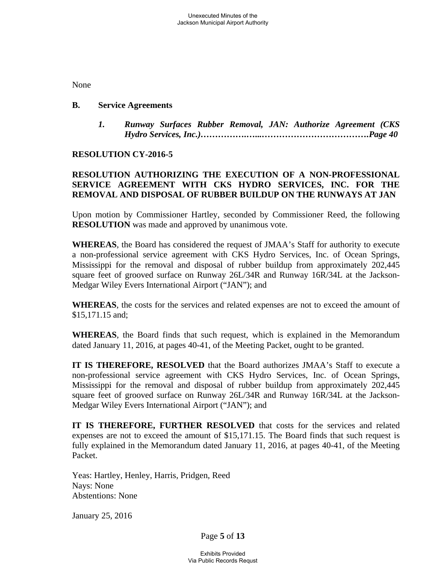None

### **B. Service Agreements**

*1. Runway Surfaces Rubber Removal, JAN: Authorize Agreement (CKS Hydro Services, Inc.)…………….…...……………………………….Page 40*

### **RESOLUTION CY-2016-5**

## **RESOLUTION AUTHORIZING THE EXECUTION OF A NON-PROFESSIONAL SERVICE AGREEMENT WITH CKS HYDRO SERVICES, INC. FOR THE REMOVAL AND DISPOSAL OF RUBBER BUILDUP ON THE RUNWAYS AT JAN**

Upon motion by Commissioner Hartley, seconded by Commissioner Reed, the following **RESOLUTION** was made and approved by unanimous vote.

**WHEREAS**, the Board has considered the request of JMAA's Staff for authority to execute a non-professional service agreement with CKS Hydro Services, Inc. of Ocean Springs, Mississippi for the removal and disposal of rubber buildup from approximately 202,445 square feet of grooved surface on Runway 26L/34R and Runway 16R/34L at the Jackson-Medgar Wiley Evers International Airport ("JAN"); and

**WHEREAS**, the costs for the services and related expenses are not to exceed the amount of \$15,171.15 and;

**WHEREAS**, the Board finds that such request, which is explained in the Memorandum dated January 11, 2016, at pages 40-41, of the Meeting Packet, ought to be granted.

**IT IS THEREFORE, RESOLVED** that the Board authorizes JMAA's Staff to execute a non-professional service agreement with CKS Hydro Services, Inc. of Ocean Springs, Mississippi for the removal and disposal of rubber buildup from approximately 202,445 square feet of grooved surface on Runway 26L/34R and Runway 16R/34L at the Jackson-Medgar Wiley Evers International Airport ("JAN"); and

**IT IS THEREFORE, FURTHER RESOLVED** that costs for the services and related expenses are not to exceed the amount of \$15,171.15. The Board finds that such request is fully explained in the Memorandum dated January 11, 2016, at pages 40-41, of the Meeting Packet.

 Yeas: Hartley, Henley, Harris, Pridgen, Reed Nays: None Abstentions: None

January 25, 2016

Page **5** of **13**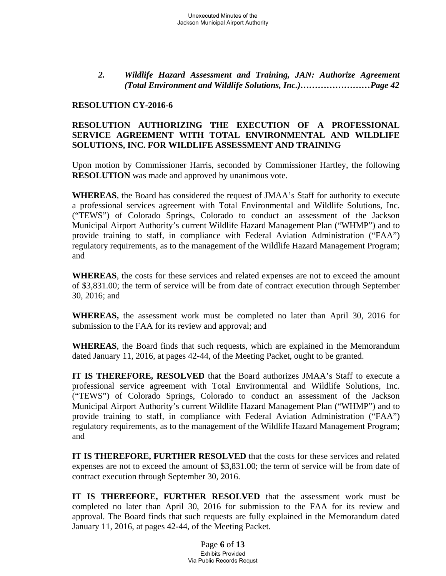*2. Wildlife Hazard Assessment and Training, JAN: Authorize Agreement (Total Environment and Wildlife Solutions, Inc.)……………………Page 42* 

### **RESOLUTION CY-2016-6**

### **RESOLUTION AUTHORIZING THE EXECUTION OF A PROFESSIONAL SERVICE AGREEMENT WITH TOTAL ENVIRONMENTAL AND WILDLIFE SOLUTIONS, INC. FOR WILDLIFE ASSESSMENT AND TRAINING**

Upon motion by Commissioner Harris, seconded by Commissioner Hartley, the following **RESOLUTION** was made and approved by unanimous vote.

**WHEREAS**, the Board has considered the request of JMAA's Staff for authority to execute a professional services agreement with Total Environmental and Wildlife Solutions, Inc. ("TEWS") of Colorado Springs, Colorado to conduct an assessment of the Jackson Municipal Airport Authority's current Wildlife Hazard Management Plan ("WHMP") and to provide training to staff, in compliance with Federal Aviation Administration ("FAA") regulatory requirements, as to the management of the Wildlife Hazard Management Program; and

**WHEREAS**, the costs for these services and related expenses are not to exceed the amount of \$3,831.00; the term of service will be from date of contract execution through September 30, 2016; and

**WHEREAS,** the assessment work must be completed no later than April 30, 2016 for submission to the FAA for its review and approval; and

**WHEREAS**, the Board finds that such requests, which are explained in the Memorandum dated January 11, 2016, at pages 42-44, of the Meeting Packet, ought to be granted.

**IT IS THEREFORE, RESOLVED** that the Board authorizes JMAA's Staff to execute a professional service agreement with Total Environmental and Wildlife Solutions, Inc. ("TEWS") of Colorado Springs, Colorado to conduct an assessment of the Jackson Municipal Airport Authority's current Wildlife Hazard Management Plan ("WHMP") and to provide training to staff, in compliance with Federal Aviation Administration ("FAA") regulatory requirements, as to the management of the Wildlife Hazard Management Program; and

**IT IS THEREFORE, FURTHER RESOLVED** that the costs for these services and related expenses are not to exceed the amount of \$3,831.00; the term of service will be from date of contract execution through September 30, 2016.

**IT IS THEREFORE, FURTHER RESOLVED** that the assessment work must be completed no later than April 30, 2016 for submission to the FAA for its review and approval. The Board finds that such requests are fully explained in the Memorandum dated January 11, 2016, at pages 42-44, of the Meeting Packet.

> Page **6** of **13** Exhibits Provided Via Public Records Requst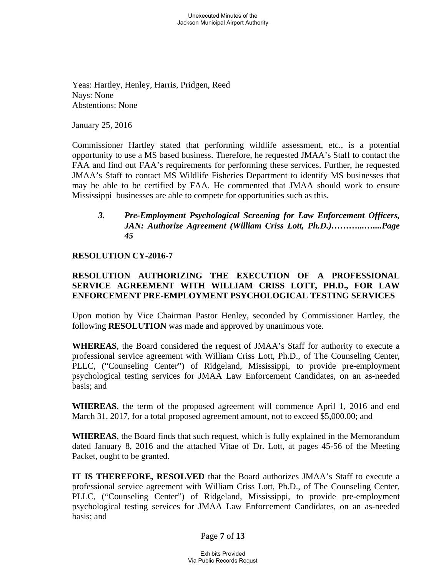Yeas: Hartley, Henley, Harris, Pridgen, Reed Nays: None Abstentions: None

January 25, 2016

Commissioner Hartley stated that performing wildlife assessment, etc., is a potential opportunity to use a MS based business. Therefore, he requested JMAA's Staff to contact the FAA and find out FAA's requirements for performing these services. Further, he requested JMAA's Staff to contact MS Wildlife Fisheries Department to identify MS businesses that may be able to be certified by FAA. He commented that JMAA should work to ensure Mississippi businesses are able to compete for opportunities such as this.

## *3. Pre-Employment Psychological Screening for Law Enforcement Officers, JAN: Authorize Agreement (William Criss Lott, Ph.D.)………...…....Page 45*

### **RESOLUTION CY-2016-7**

## **RESOLUTION AUTHORIZING THE EXECUTION OF A PROFESSIONAL SERVICE AGREEMENT WITH WILLIAM CRISS LOTT, PH.D., FOR LAW ENFORCEMENT PRE-EMPLOYMENT PSYCHOLOGICAL TESTING SERVICES**

Upon motion by Vice Chairman Pastor Henley, seconded by Commissioner Hartley, the following **RESOLUTION** was made and approved by unanimous vote.

**WHEREAS**, the Board considered the request of JMAA's Staff for authority to execute a professional service agreement with William Criss Lott, Ph.D., of The Counseling Center, PLLC, ("Counseling Center") of Ridgeland, Mississippi, to provide pre-employment psychological testing services for JMAA Law Enforcement Candidates, on an as-needed basis; and

**WHEREAS**, the term of the proposed agreement will commence April 1, 2016 and end March 31, 2017, for a total proposed agreement amount, not to exceed \$5,000.00; and

**WHEREAS**, the Board finds that such request, which is fully explained in the Memorandum dated January 8, 2016 and the attached Vitae of Dr. Lott, at pages 45-56 of the Meeting Packet, ought to be granted.

**IT IS THEREFORE, RESOLVED** that the Board authorizes JMAA's Staff to execute a professional service agreement with William Criss Lott, Ph.D., of The Counseling Center, PLLC, ("Counseling Center") of Ridgeland, Mississippi, to provide pre-employment psychological testing services for JMAA Law Enforcement Candidates, on an as-needed basis; and

Page **7** of **13**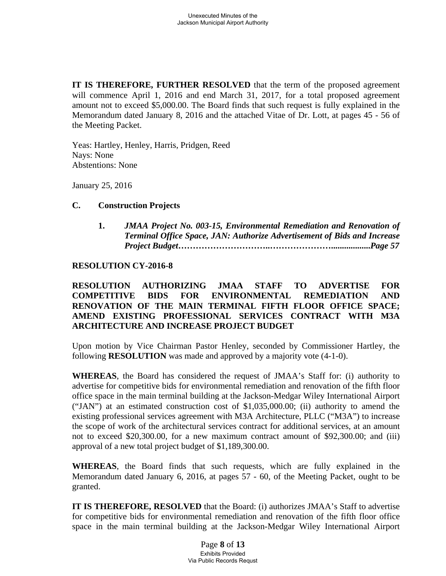**IT IS THEREFORE, FURTHER RESOLVED** that the term of the proposed agreement will commence April 1, 2016 and end March 31, 2017, for a total proposed agreement amount not to exceed \$5,000.00. The Board finds that such request is fully explained in the Memorandum dated January 8, 2016 and the attached Vitae of Dr. Lott, at pages 45 - 56 of the Meeting Packet.

 Yeas: Hartley, Henley, Harris, Pridgen, Reed Nays: None Abstentions: None

January 25, 2016

### **C. Construction Projects**

**1.** *JMAA Project No. 003-15, Environmental Remediation and Renovation of Terminal Office Space, JAN: Authorize Advertisement of Bids and Increase Project Budget***…………………………..…………………..................***Page 57*

### **RESOLUTION CY-2016-8**

## **RESOLUTION AUTHORIZING JMAA STAFF TO ADVERTISE FOR COMPETITIVE BIDS FOR ENVIRONMENTAL REMEDIATION AND RENOVATION OF THE MAIN TERMINAL FIFTH FLOOR OFFICE SPACE; AMEND EXISTING PROFESSIONAL SERVICES CONTRACT WITH M3A ARCHITECTURE AND INCREASE PROJECT BUDGET**

Upon motion by Vice Chairman Pastor Henley, seconded by Commissioner Hartley, the following **RESOLUTION** was made and approved by a majority vote (4-1-0).

**WHEREAS**, the Board has considered the request of JMAA's Staff for: (i) authority to advertise for competitive bids for environmental remediation and renovation of the fifth floor office space in the main terminal building at the Jackson-Medgar Wiley International Airport ("JAN") at an estimated construction cost of \$1,035,000.00; (ii) authority to amend the existing professional services agreement with M3A Architecture, PLLC ("M3A") to increase the scope of work of the architectural services contract for additional services, at an amount not to exceed \$20,300.00, for a new maximum contract amount of \$92,300.00; and (iii) approval of a new total project budget of \$1,189,300.00.

**WHEREAS**, the Board finds that such requests, which are fully explained in the Memorandum dated January 6, 2016, at pages 57 - 60, of the Meeting Packet, ought to be granted.

**IT IS THEREFORE, RESOLVED** that the Board: (i) authorizes JMAA's Staff to advertise for competitive bids for environmental remediation and renovation of the fifth floor office space in the main terminal building at the Jackson-Medgar Wiley International Airport

> Page **8** of **13** Exhibits Provided Via Public Records Requst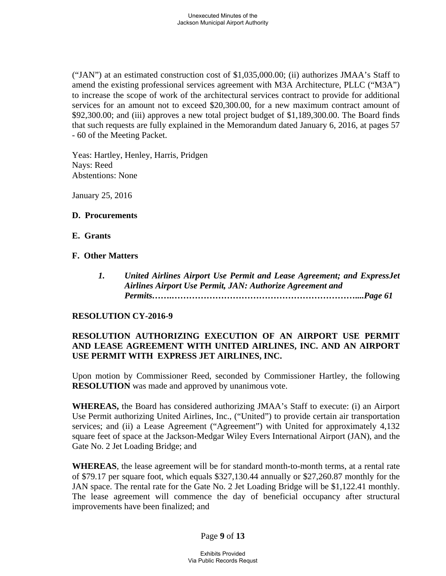("JAN") at an estimated construction cost of \$1,035,000.00; (ii) authorizes JMAA's Staff to amend the existing professional services agreement with M3A Architecture, PLLC ("M3A") to increase the scope of work of the architectural services contract to provide for additional services for an amount not to exceed \$20,300.00, for a new maximum contract amount of \$92,300.00; and (iii) approves a new total project budget of \$1,189,300.00. The Board finds that such requests are fully explained in the Memorandum dated January 6, 2016, at pages 57 - 60 of the Meeting Packet.

Yeas: Hartley, Henley, Harris, Pridgen Nays: Reed Abstentions: None

January 25, 2016

### **D. Procurements**

- **E. Grants**
- **F. Other Matters** 
	- *1. United Airlines Airport Use Permit and Lease Agreement; and ExpressJet Airlines Airport Use Permit, JAN: Authorize Agreement and Permits…….………………………………………………………....Page 61*

## **RESOLUTION CY-2016-9**

## **RESOLUTION AUTHORIZING EXECUTION OF AN AIRPORT USE PERMIT AND LEASE AGREEMENT WITH UNITED AIRLINES, INC. AND AN AIRPORT USE PERMIT WITH EXPRESS JET AIRLINES, INC.**

Upon motion by Commissioner Reed, seconded by Commissioner Hartley, the following **RESOLUTION** was made and approved by unanimous vote.

**WHEREAS,** the Board has considered authorizing JMAA's Staff to execute: (i) an Airport Use Permit authorizing United Airlines, Inc., ("United") to provide certain air transportation services; and (ii) a Lease Agreement ("Agreement") with United for approximately 4,132 square feet of space at the Jackson-Medgar Wiley Evers International Airport (JAN), and the Gate No. 2 Jet Loading Bridge; and

**WHEREAS**, the lease agreement will be for standard month-to-month terms, at a rental rate of \$79.17 per square foot, which equals \$327,130.44 annually or \$27,260.87 monthly for the JAN space. The rental rate for the Gate No. 2 Jet Loading Bridge will be \$1,122.41 monthly. The lease agreement will commence the day of beneficial occupancy after structural improvements have been finalized; and

Page **9** of **13**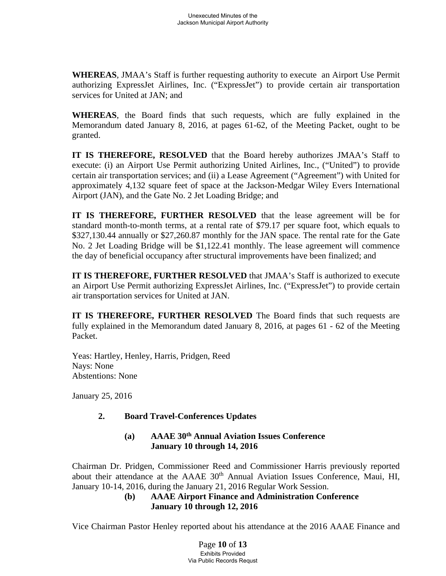**WHEREAS**, JMAA's Staff is further requesting authority to execute an Airport Use Permit authorizing ExpressJet Airlines, Inc. ("ExpressJet") to provide certain air transportation services for United at JAN; and

**WHEREAS**, the Board finds that such requests, which are fully explained in the Memorandum dated January 8, 2016, at pages 61-62, of the Meeting Packet, ought to be granted.

**IT IS THEREFORE, RESOLVED** that the Board hereby authorizes JMAA's Staff to execute: (i) an Airport Use Permit authorizing United Airlines, Inc., ("United") to provide certain air transportation services; and (ii) a Lease Agreement ("Agreement") with United for approximately 4,132 square feet of space at the Jackson-Medgar Wiley Evers International Airport (JAN), and the Gate No. 2 Jet Loading Bridge; and

**IT IS THEREFORE, FURTHER RESOLVED** that the lease agreement will be for standard month-to-month terms, at a rental rate of \$79.17 per square foot, which equals to \$327,130.44 annually or \$27,260.87 monthly for the JAN space. The rental rate for the Gate No. 2 Jet Loading Bridge will be \$1,122.41 monthly. The lease agreement will commence the day of beneficial occupancy after structural improvements have been finalized; and

**IT IS THEREFORE, FURTHER RESOLVED** that JMAA's Staff is authorized to execute an Airport Use Permit authorizing ExpressJet Airlines, Inc. ("ExpressJet") to provide certain air transportation services for United at JAN.

**IT IS THEREFORE, FURTHER RESOLVED** The Board finds that such requests are fully explained in the Memorandum dated January 8, 2016, at pages 61 - 62 of the Meeting Packet.

Yeas: Hartley, Henley, Harris, Pridgen, Reed Nays: None Abstentions: None

January 25, 2016

# **2. Board Travel-Conferences Updates**

## **(a) AAAE 30th Annual Aviation Issues Conference January 10 through 14, 2016**

Chairman Dr. Pridgen, Commissioner Reed and Commissioner Harris previously reported about their attendance at the AAAE 30<sup>th</sup> Annual Aviation Issues Conference, Maui, HI, January 10-14, 2016, during the January 21, 2016 Regular Work Session.

## **(b) AAAE Airport Finance and Administration Conference January 10 through 12, 2016**

Vice Chairman Pastor Henley reported about his attendance at the 2016 AAAE Finance and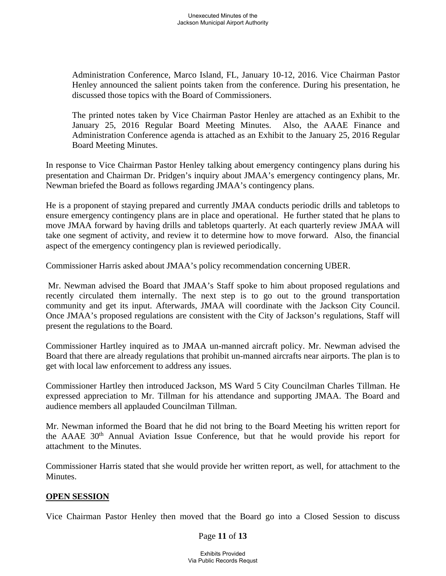Administration Conference, Marco Island, FL, January 10-12, 2016. Vice Chairman Pastor Henley announced the salient points taken from the conference. During his presentation, he discussed those topics with the Board of Commissioners.

The printed notes taken by Vice Chairman Pastor Henley are attached as an Exhibit to the January 25, 2016 Regular Board Meeting Minutes. Also, the AAAE Finance and Administration Conference agenda is attached as an Exhibit to the January 25, 2016 Regular Board Meeting Minutes.

In response to Vice Chairman Pastor Henley talking about emergency contingency plans during his presentation and Chairman Dr. Pridgen's inquiry about JMAA's emergency contingency plans, Mr. Newman briefed the Board as follows regarding JMAA's contingency plans.

He is a proponent of staying prepared and currently JMAA conducts periodic drills and tabletops to ensure emergency contingency plans are in place and operational. He further stated that he plans to move JMAA forward by having drills and tabletops quarterly. At each quarterly review JMAA will take one segment of activity, and review it to determine how to move forward. Also, the financial aspect of the emergency contingency plan is reviewed periodically.

Commissioner Harris asked about JMAA's policy recommendation concerning UBER.

 Mr. Newman advised the Board that JMAA's Staff spoke to him about proposed regulations and recently circulated them internally. The next step is to go out to the ground transportation community and get its input. Afterwards, JMAA will coordinate with the Jackson City Council. Once JMAA's proposed regulations are consistent with the City of Jackson's regulations, Staff will present the regulations to the Board.

Commissioner Hartley inquired as to JMAA un-manned aircraft policy. Mr. Newman advised the Board that there are already regulations that prohibit un-manned aircrafts near airports. The plan is to get with local law enforcement to address any issues.

Commissioner Hartley then introduced Jackson, MS Ward 5 City Councilman Charles Tillman. He expressed appreciation to Mr. Tillman for his attendance and supporting JMAA. The Board and audience members all applauded Councilman Tillman.

Mr. Newman informed the Board that he did not bring to the Board Meeting his written report for the AAAE 30th Annual Aviation Issue Conference, but that he would provide his report for attachment to the Minutes.

Commissioner Harris stated that she would provide her written report, as well, for attachment to the Minutes.

## **OPEN SESSION**

Vice Chairman Pastor Henley then moved that the Board go into a Closed Session to discuss

### Page **11** of **13**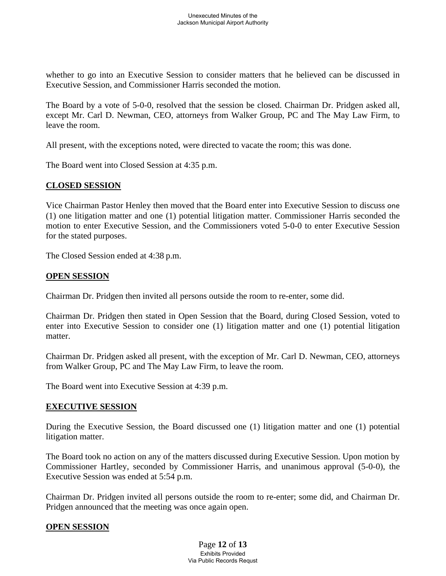whether to go into an Executive Session to consider matters that he believed can be discussed in Executive Session, and Commissioner Harris seconded the motion.

The Board by a vote of 5-0-0, resolved that the session be closed. Chairman Dr. Pridgen asked all, except Mr. Carl D. Newman, CEO, attorneys from Walker Group, PC and The May Law Firm, to leave the room.

All present, with the exceptions noted, were directed to vacate the room; this was done.

The Board went into Closed Session at 4:35 p.m.

#### **CLOSED SESSION**

Vice Chairman Pastor Henley then moved that the Board enter into Executive Session to discuss one (1) one litigation matter and one (1) potential litigation matter. Commissioner Harris seconded the motion to enter Executive Session, and the Commissioners voted 5-0-0 to enter Executive Session for the stated purposes.

The Closed Session ended at 4:38 p.m.

### **OPEN SESSION**

Chairman Dr. Pridgen then invited all persons outside the room to re-enter, some did.

Chairman Dr. Pridgen then stated in Open Session that the Board, during Closed Session, voted to enter into Executive Session to consider one (1) litigation matter and one (1) potential litigation matter.

Chairman Dr. Pridgen asked all present, with the exception of Mr. Carl D. Newman, CEO, attorneys from Walker Group, PC and The May Law Firm, to leave the room.

The Board went into Executive Session at 4:39 p.m.

### **EXECUTIVE SESSION**

During the Executive Session, the Board discussed one (1) litigation matter and one (1) potential litigation matter.

The Board took no action on any of the matters discussed during Executive Session. Upon motion by Commissioner Hartley, seconded by Commissioner Harris, and unanimous approval (5-0-0), the Executive Session was ended at 5:54 p.m.

Chairman Dr. Pridgen invited all persons outside the room to re-enter; some did, and Chairman Dr. Pridgen announced that the meeting was once again open.

### **OPEN SESSION**